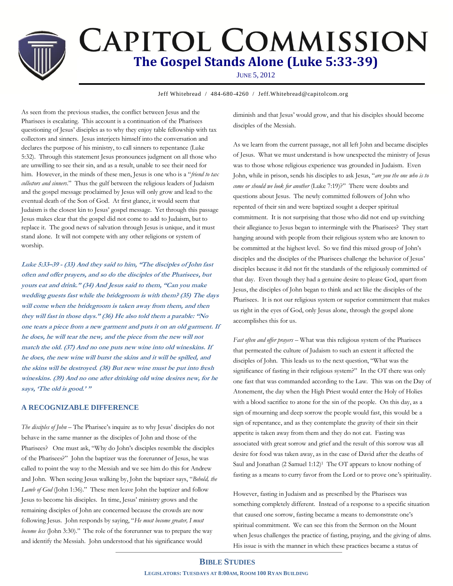# **CAPITOL COMMISSION The Gospel Stands Alone (Luke 5:33-39)**

JUNE 5, 2012

**Jeff Whitebread / 484-680-4260 / Jeff.Whitebread@capitolcom.org** 

As seen from the previous studies, the conflict between Jesus and the Pharisees is escalating. This account is a continuation of the Pharisees questioning of Jesus' disciples as to why they enjoy table fellowship with tax collectors and sinners. Jesus interjects himself into the conversation and declares the purpose of his ministry, to call sinners to repentance (Luke 5:32). Through this statement Jesus pronounces judgment on all those who are unwilling to see their sin, and as a result, unable to see their need for him. However, in the minds of these men, Jesus is one who is a "*friend to tax collectors and sinners*." Thus the gulf between the religious leaders of Judaism and the gospel message proclaimed by Jesus will only grow and lead to the eventual death of the Son of God. At first glance, it would seem that Judaism is the closest kin to Jesus' gospel message. Yet through this passage Jesus makes clear that the gospel did not come to add to Judaism, but to replace it. The good news of salvation through Jesus is unique, and it must stand alone. It will not compete with any other religions or system of worship.

**Luke 5:33–39 - (33) And they said to him, "The disciples of John fast often and offer prayers, and so do the disciples of the Pharisees, but yours eat and drink." (34) And Jesus said to them, "Can you make wedding guests fast while the bridegroom is with them? (35) The days will come when the bridegroom is taken away from them, and then they will fast in those days." (36) He also told them a parable: "No one tears a piece from a new garment and puts it on an old garment. If he does, he will tear the new, and the piece from the new will not match the old. (37) And no one puts new wine into old wineskins. If he does, the new wine will burst the skins and it will be spilled, and the skins will be destroyed. (38) But new wine must be put into fresh wineskins. (39) And no one after drinking old wine desires new, for he says, 'The old is good.' "**

## **A RECOGNIZABLE DIFFERENCE**

*The disciples of John* – The Pharisee's inquire as to why Jesus' disciples do not behave in the same manner as the disciples of John and those of the Pharisees? One must ask, "Why do John's disciples resemble the disciples of the Pharisees?" John the baptizer was the forerunner of Jesus, he was called to point the way to the Messiah and we see him do this for Andrew and John. When seeing Jesus walking by, John the baptizer says, "*Behold, the Lamb of God* (John 1:36)." These men leave John the baptizer and follow Jesus to become his disciples. In time, Jesus' ministry grows and the remaining disciples of John are concerned because the crowds are now following Jesus. John responds by saying, "*He must become greater, I must become less* (John 3:30)." The role of the forerunner was to prepare the way and identify the Messiah. John understood that his significance would

diminish and that Jesus' would grow, and that his disciples should become disciples of the Messiah.

As we learn from the current passage, not all left John and became disciples of Jesus. What we must understand is how unexpected the ministry of Jesus was to those whose religious experience was grounded in Judaism. Even John, while in prison, sends his disciples to ask Jesus, "*are you the one who is to come or should we look for another* (Luke 7:19)?" There were doubts and questions about Jesus. The newly committed followers of John who repented of their sin and were baptized sought a deeper spiritual commitment. It is not surprising that those who did not end up switching their allegiance to Jesus began to intermingle with the Pharisees? They start hanging around with people from their religious system who are known to be committed at the highest level. So we find this mixed group of John's disciples and the disciples of the Pharisees challenge the behavior of Jesus' disciples because it did not fit the standards of the religiously committed of that day. Even though they had a genuine desire to please God, apart from Jesus, the disciples of John began to think and act like the disciples of the Pharisees. It is not our religious system or superior commitment that makes us right in the eyes of God, only Jesus alone, through the gospel alone accomplishes this for us.

*Fast often and offer prayers* – What was this religious system of the Pharisees that permeated the culture of Judaism to such an extent it affected the disciples of John. This leads us to the next question, "What was the significance of fasting in their religious system?" In the OT there was only one fast that was commanded according to the Law. This was on the Day of Atonement, the day when the High Priest would enter the Holy of Holies with a blood sacrifice to atone for the sin of the people. On this day, as a sign of mourning and deep sorrow the people would fast, this would be a sign of repentance, and as they contemplate the gravity of their sin their appetite is taken away from them and they do not eat. Fasting was associated with great sorrow and grief and the result of this sorrow was all desire for food was taken away, as in the case of David after the deaths of Saul and Jonathan (2 Samuel 1:12)<sup>1</sup> The OT appears to know nothing of fasting as a means to curry favor from the Lord or to prove one's spirituality.

However, fasting in Judaism and as prescribed by the Pharisees was something completely different. Instead of a response to a specific situation that caused one sorrow, fasting became a means to demonstrate one's spiritual commitment. We can see this from the Sermon on the Mount when Jesus challenges the practice of fasting, praying, and the giving of alms. His issue is with the manner in which these practices became a status of